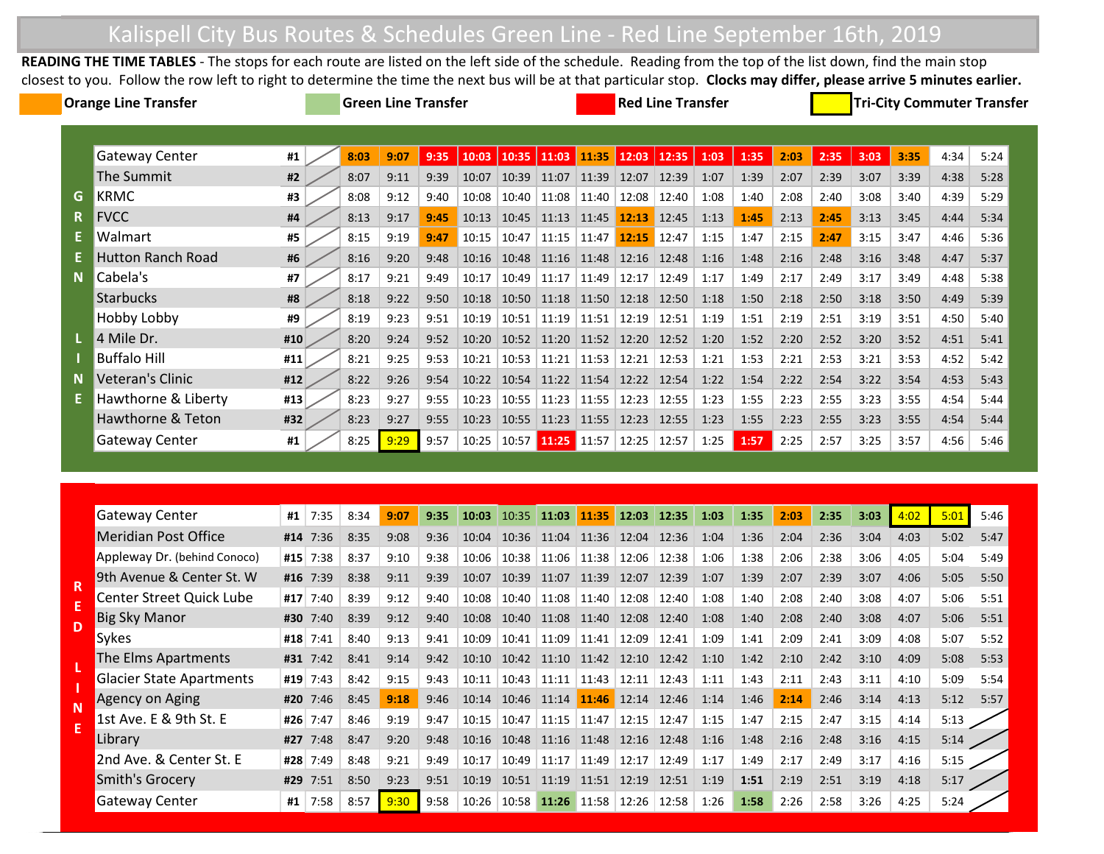## Kalispell City Bus Routes & Schedules Green Line - Red Line September 16th, 2019

**READING THE TIME TABLES** - The stops for each route are listed on the left side of the schedule. Reading from the top of the list down, find the main stop closest to you. Follow the row left to right to determine the time the next bus will be at that particular stop. **Clocks may differ, please arrive 5 minutes earlier.** 

| <b>Orange Line Transfer</b> |                          |     | <b>Green Line Transfer</b> |      |      |      |       |       |                   | <b>Red Line Transfer</b> |       |       |      |      |      | <b>Tri-City Commuter Transfer</b> |      |      |      |      |  |
|-----------------------------|--------------------------|-----|----------------------------|------|------|------|-------|-------|-------------------|--------------------------|-------|-------|------|------|------|-----------------------------------|------|------|------|------|--|
|                             |                          |     |                            |      |      |      |       |       |                   |                          |       |       |      |      |      |                                   |      |      |      |      |  |
|                             | Gateway Center           | #1  |                            | 8:03 | 9:07 | 9:35 | 10:03 | 10:35 | 11:03             | 11:35                    | 12:03 | 12:35 | 1:03 | 1:35 | 2:03 | 2:35                              | 3:03 | 3:35 | 4:34 | 5:24 |  |
|                             | The Summit               | #2  |                            | 8:07 | 9:11 | 9:39 | 10:07 | 10:39 | 11:07             | 11:39                    | 12:07 | 12:39 | 1:07 | 1:39 | 2:07 | 2:39                              | 3:07 | 3:39 | 4:38 | 5:28 |  |
| G                           | KRMC                     | #3  |                            | 8:08 | 9:12 | 9:40 | 10:08 | 10:40 | 11:08             | 11:40                    | 12:08 | 12:40 | 1:08 | 1:40 | 2:08 | 2:40                              | 3:08 | 3:40 | 4:39 | 5:29 |  |
| R.                          | <b>FVCC</b>              | #4  |                            | 8:13 | 9:17 | 9:45 | 10:13 | 10:45 | 11:13             | 11:45                    | 12:13 | 12:45 | 1:13 | 1:45 | 2:13 | 2:45                              | 3:13 | 3:45 | 4:44 | 5:34 |  |
|                             | Walmart                  | #5  |                            | 8:15 | 9:19 | 9:47 | 10:15 | 10:47 | 11:15             | 11:47                    | 12:15 | 12:47 | 1:15 | 1:47 | 2:15 | 2:47                              | 3:15 | 3:47 | 4:46 | 5:36 |  |
|                             | <b>Hutton Ranch Road</b> | #6  |                            | 8:16 | 9:20 | 9:48 | 10:16 | 10:48 | 11:16             | 11:48                    | 12:16 | 12:48 | 1:16 | 1:48 | 2:16 | 2:48                              | 3:16 | 3:48 | 4:47 | 5:37 |  |
| $\mathbf N$                 | Cabela's                 | #7  |                            | 8:17 | 9:21 | 9:49 | 10:17 | 10:49 | 11:17             | 11:49                    | 12:17 | 12:49 | 1:17 | 1:49 | 2:17 | 2:49                              | 3:17 | 3:49 | 4:48 | 5:38 |  |
|                             | <b>Starbucks</b>         | #8  |                            | 8:18 | 9:22 | 9:50 | 10:18 | 10:50 | 11:18             | 11:50                    | 12:18 | 12:50 | 1:18 | 1:50 | 2:18 | 2:50                              | 3:18 | 3:50 | 4:49 | 5:39 |  |
|                             | Hobby Lobby              | #9  |                            | 8:19 | 9:23 | 9:51 | 10:19 | 10:51 | 11:19             | 11:51                    | 12:19 | 12:51 | 1:19 | 1:51 | 2:19 | 2:51                              | 3:19 | 3:51 | 4:50 | 5:40 |  |
|                             | 4 Mile Dr.               | #10 |                            | 8:20 | 9:24 | 9:52 | 10:20 | 10:52 | 11:20             | 11:52                    | 12:20 | 12:52 | 1:20 | 1:52 | 2:20 | 2:52                              | 3:20 | 3:52 | 4:51 | 5:41 |  |
|                             | <b>Buffalo Hill</b>      | #11 |                            | 8:21 | 9:25 | 9:53 | 10:21 | 10:53 | 11:21             | 11:53                    | 12:21 | 12:53 | 1:21 | 1:53 | 2:21 | 2:53                              | 3:21 | 3:53 | 4:52 | 5:42 |  |
| <b>N</b>                    | Veteran's Clinic         | #12 |                            | 8:22 | 9:26 | 9:54 | 10:22 | 10:54 | 11:22             | 11:54                    | 12:22 | 12:54 | 1:22 | 1:54 | 2:22 | 2:54                              | 3:22 | 3:54 | 4:53 | 5:43 |  |
|                             | Hawthorne & Liberty      | #13 |                            | 8:23 | 9:27 | 9:55 | 10:23 | 10:55 | 11:23             | 11:55                    | 12:23 | 12:55 | 1:23 | 1:55 | 2:23 | 2:55                              | 3:23 | 3:55 | 4:54 | 5:44 |  |
|                             | Hawthorne & Teton        | #32 |                            | 8:23 | 9:27 | 9:55 | 10:23 | 10:55 | 11:23             | 11:55                    | 12:23 | 12:55 | 1:23 | 1:55 | 2:23 | 2:55                              | 3:23 | 3:55 | 4:54 | 5:44 |  |
|                             | <b>Gateway Center</b>    | #1  |                            | 8:25 | 9:29 | 9:57 | 10:25 |       | 10:57 11:25 11:57 |                          | 12:25 | 12:57 | 1:25 | 1:57 | 2:25 | 2:57                              | 3:25 | 3:57 | 4:56 | 5:46 |  |

| <b>Gateway Center</b>           | #1  | 7:35 | 8:34 | 9:07 | 9:35 | 10:03 | $10:35$ 11:03 |       | 11:35 | 12:03 | 12:35 | 1:03 | 1:35 | 2:03 | 2:35 | 3:03 | 4:02 | 5:01 | 5:46 |
|---------------------------------|-----|------|------|------|------|-------|---------------|-------|-------|-------|-------|------|------|------|------|------|------|------|------|
| Meridian Post Office            | #14 | 7:36 | 8:35 | 9:08 | 9:36 | 10:04 | 10:36         | 11:04 | 11:36 | 12:04 | 12:36 | 1:04 | 1:36 | 2:04 | 2:36 | 3:04 | 4:03 | 5:02 | 5:47 |
| Appleway Dr. (behind Conoco)    | #15 | 7:38 | 8:37 | 9:10 | 9:38 | 10:06 | 10:38         | 11:06 | 11:38 | 12:06 | 12:38 | 1:06 | 1:38 | 2:06 | 2:38 | 3:06 | 4:05 | 5:04 | 5:49 |
| 9th Avenue & Center St. W       | #16 | 7:39 | 8:38 | 9:11 | 9:39 | 10:07 | 10:39         | 11:07 | 11:39 | 12:07 | 12:39 | 1:07 | 1:39 | 2:07 | 2:39 | 3:07 | 4:06 | 5:05 | 5:50 |
| <b>Center Street Quick Lube</b> | #17 | 7:40 | 8:39 | 9:12 | 9:40 | 10:08 | 10:40         | 11:08 | 11:40 | 12:08 | 12:40 | 1:08 | 1:40 | 2:08 | 2:40 | 3:08 | 4:07 | 5:06 | 5:51 |
| <b>Big Sky Manor</b>            | #30 | 7:40 | 8:39 | 9:12 | 9:40 | 10:08 | 10:40         | 11:08 | 11.40 | 12:08 | 12:40 | 1:08 | 1:40 | 2:08 | 2:40 | 3:08 | 4:07 | 5:06 | 5:51 |
| Sykes                           | #18 | 7:41 | 8:40 | 9:13 | 9:41 | 10:09 | 10:41         | 11:09 | 11:41 | 12:09 | 12:41 | 1:09 | 1:41 | 2:09 | 2:41 | 3:09 | 4:08 | 5:07 | 5:52 |
| The Elms Apartments             | #31 | 7:42 | 8:41 | 9:14 | 9:42 | 10:10 | 10:42         | 11:10 | 11:42 | 12:10 | 12:42 | 1:10 | 1:42 | 2:10 | 2:42 | 3:10 | 4:09 | 5:08 | 5:53 |
| <b>Glacier State Apartments</b> | #19 | 7:43 | 8:42 | 9:15 | 9:43 | 10:11 | 10:43         | 11:11 | 11:43 | 12:11 | 12:43 | 1:11 | 1:43 | 2:11 | 2:43 | 3:11 | 4:10 | 5:09 | 5:54 |
| Agency on Aging                 | #20 | 7:46 | 8:45 | 9:18 | 9:46 | 10:14 | 10:46         | 11:14 | 11:46 | 12:14 | 12:46 | 1:14 | 1:46 | 2:14 | 2:46 | 3:14 | 4:13 | 5:12 | 5:57 |
| 1st Ave. E & 9th St. E          | #26 | 7:47 | 8:46 | 9:19 | 9:47 | 10:15 | 10:47         | 11:15 | 11:47 | 12:15 | 12:47 | 1:15 | 1:47 | 2:15 | 2:47 | 3:15 | 4:14 | 5:13 |      |
| Library                         | #27 | 7:48 | 8:47 | 9:20 | 9:48 | 10:16 | 10:48         | 11:16 | 11:48 | 12:16 | 12:48 | 1:16 | 1:48 | 2:16 | 2:48 | 3:16 | 4:15 | 5:14 |      |
| 2nd Ave. & Center St. E         | #28 | 7:49 | 8:48 | 9:21 | 9:49 | 10:17 | 10:49         | 11:17 | 11:49 | 12:17 | 12:49 | 1:17 | 1:49 | 2:17 | 2:49 | 3:17 | 4:16 | 5:15 |      |
| Smith's Grocery                 | #29 | 7:51 | 8:50 | 9:23 | 9:51 | 10:19 | 10:51         | 11:19 | 11:51 | 12:19 | 12:51 | 1:19 | 1:51 | 2:19 | 2:51 | 3:19 | 4:18 | 5:17 |      |
| <b>Gateway Center</b>           | #1  | 7:58 | 8:57 | 9:30 | 9:58 | 10:26 | 10:58         | 11:26 | 11:58 | 12:26 | 12:58 | 1:26 | 1:58 | 2:26 | 2:58 | 3:26 | 4:25 | 5:24 |      |